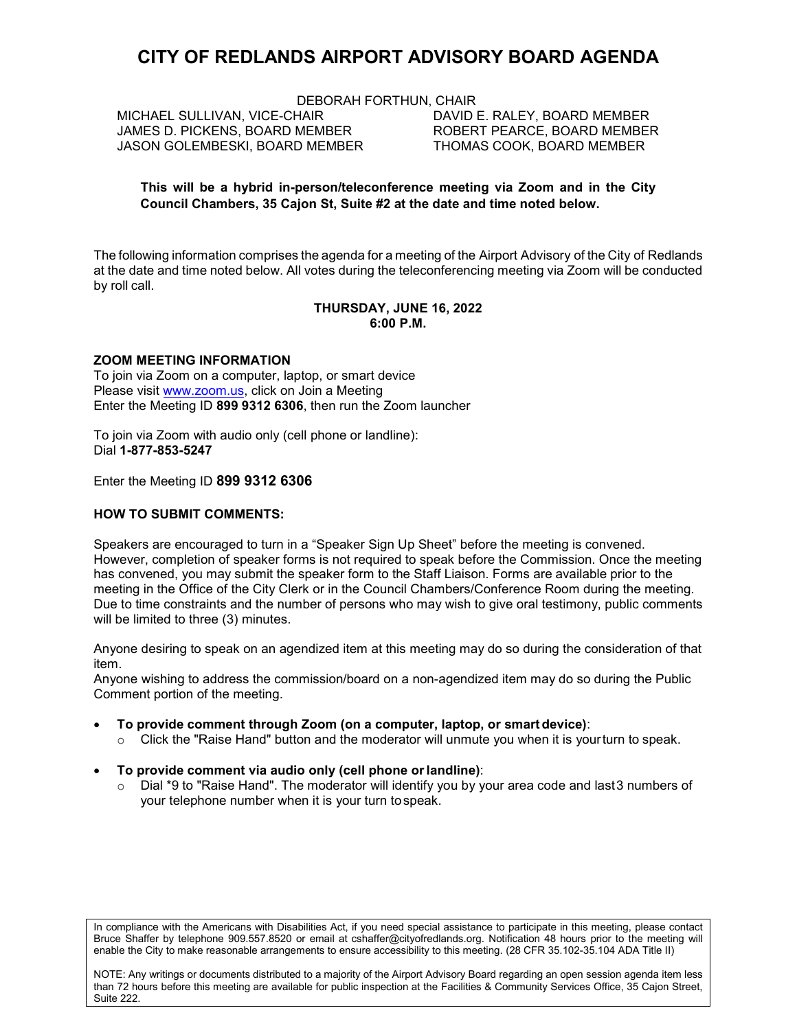# **CITY OF REDLANDS AIRPORT ADVISORY BOARD AGENDA**

DEBORAH FORTHUN, CHAIR

MICHAEL SULLIVAN, VICE-CHAIR DAVID E. RALEY, BOARD MEMBER JAMES D. PICKENS, BOARD MEMBER ROBERT PEARCE, BOARD MEMBER JASON GOLEMBESKI, BOARD MEMBER

#### **This will be a hybrid in-person/teleconference meeting via Zoom and in the City Council Chambers, 35 Cajon St, Suite #2 at the date and time noted below.**

The following information comprises the agenda for a meeting of the Airport Advisory of the City of Redlands at the date and time noted below. All votes during the teleconferencing meeting via Zoom will be conducted by roll call.

#### **THURSDAY, JUNE 16, 2022 6:00 P.M.**

## **ZOOM MEETING INFORMATION**

To join via Zoom on a computer, laptop, or smart device Please visit [www.zoom.us,](https://zoom.us/) click on Join a Meeting Enter the Meeting ID **899 9312 6306**, then run the Zoom launcher

To join via Zoom with audio only (cell phone or landline): Dial **1-877-853-5247**

Enter the Meeting ID **899 9312 6306**

#### **HOW TO SUBMIT COMMENTS:**

Speakers are encouraged to turn in a "Speaker Sign Up Sheet" before the meeting is convened. However, completion of speaker forms is not required to speak before the Commission. Once the meeting has convened, you may submit the speaker form to the Staff Liaison. Forms are available prior to the meeting in the Office of the City Clerk or in the Council Chambers/Conference Room during the meeting. Due to time constraints and the number of persons who may wish to give oral testimony, public comments will be limited to three (3) minutes.

Anyone desiring to speak on an agendized item at this meeting may do so during the consideration of that item.

Anyone wishing to address the commission/board on a non-agendized item may do so during the Public Comment portion of the meeting.

- **To provide comment through Zoom (on a computer, laptop, or smartdevice)**:
	- $\circ$  Click the "Raise Hand" button and the moderator will unmute you when it is yourturn to speak.

#### • **To provide comment via audio only (cell phone orlandline)**:

 $\circ$  Dial \*9 to "Raise Hand". The moderator will identify you by your area code and last 3 numbers of your telephone number when it is your turn tospeak.

In compliance with the Americans with Disabilities Act, if you need special assistance to participate in this meeting, please contact Bruce Shaffer by telephone 909.557.8520 or email at cshaffer@cityofredlands.org. Notification 48 hours prior to the meeting will enable the City to make reasonable arrangements to ensure accessibility to this meeting. (28 CFR 35.102-35.104 ADA Title II)

NOTE: Any writings or documents distributed to a majority of the Airport Advisory Board regarding an open session agenda item less than 72 hours before this meeting are available for public inspection at the Facilities & Community Services Office, 35 Cajon Street, Suite 222.